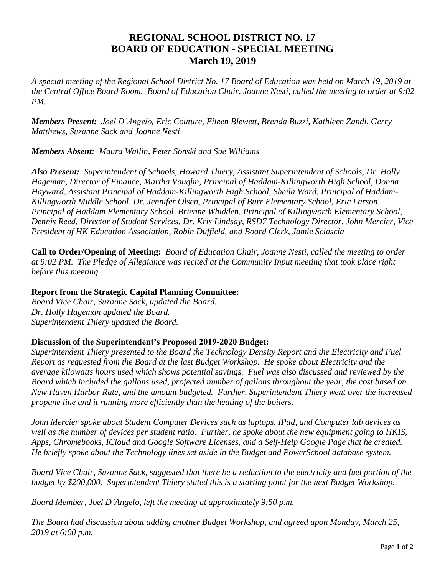## **REGIONAL SCHOOL DISTRICT NO. 17 BOARD OF EDUCATION - SPECIAL MEETING March 19, 2019**

*A special meeting of the Regional School District No. 17 Board of Education was held on March 19, 2019 at the Central Office Board Room. Board of Education Chair, Joanne Nesti, called the meeting to order at 9:02 PM.*

*Members Present: Joel D'Angelo, Eric Couture, Eileen Blewett, Brenda Buzzi, Kathleen Zandi, Gerry Matthews, Suzanne Sack and Joanne Nesti* 

*Members Absent: Maura Wallin, Peter Sonski and Sue Williams*

*Also Present: Superintendent of Schools, Howard Thiery, Assistant Superintendent of Schools, Dr. Holly Hageman, Director of Finance, Martha Vaughn, Principal of Haddam-Killingworth High School, Donna Hayward, Assistant Principal of Haddam-Killingworth High School, Sheila Ward, Principal of Haddam-Killingworth Middle School, Dr. Jennifer Olsen, Principal of Burr Elementary School, Eric Larson, Principal of Haddam Elementary School, Brienne Whidden, Principal of Killingworth Elementary School, Dennis Reed, Director of Student Services, Dr. Kris Lindsay, RSD7 Technology Director, John Mercier, Vice President of HK Education Association, Robin Duffield, and Board Clerk, Jamie Sciascia*

**Call to Order/Opening of Meeting:** *Board of Education Chair, Joanne Nesti, called the meeting to order at 9:02 PM. The Pledge of Allegiance was recited at the Community Input meeting that took place right before this meeting.*

## **Report from the Strategic Capital Planning Committee:**

*Board Vice Chair, Suzanne Sack, updated the Board. Dr. Holly Hageman updated the Board. Superintendent Thiery updated the Board.*

## **Discussion of the Superintendent's Proposed 2019-2020 Budget:**

*Superintendent Thiery presented to the Board the Technology Density Report and the Electricity and Fuel Report as requested from the Board at the last Budget Workshop. He spoke about Electricity and the average kilowatts hours used which shows potential savings. Fuel was also discussed and reviewed by the Board which included the gallons used, projected number of gallons throughout the year, the cost based on New Haven Harbor Rate, and the amount budgeted. Further, Superintendent Thiery went over the increased propane line and it running more efficiently than the heating of the boilers.*

*John Mercier spoke about Student Computer Devices such as laptops, IPad, and Computer lab devices as well as the number of devices per student ratio. Further, he spoke about the new equipment going to HKIS, Apps, Chromebooks, ICloud and Google Software Licenses, and a Self-Help Google Page that he created. He briefly spoke about the Technology lines set aside in the Budget and PowerSchool database system.*

*Board Vice Chair, Suzanne Sack, suggested that there be a reduction to the electricity and fuel portion of the budget by \$200,000. Superintendent Thiery stated this is a starting point for the next Budget Workshop.*

*Board Member, Joel D'Angelo, left the meeting at approximately 9:50 p.m.* 

*The Board had discussion about adding another Budget Workshop, and agreed upon Monday, March 25, 2019 at 6:00 p.m.*